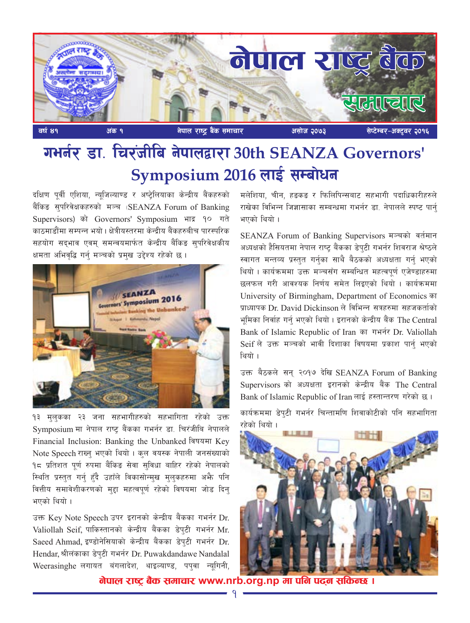

# गर्भानर डा. चिरंजीबि नेपालद्वारा 30th SEANZA Governors' Symposium 2016 लाई सम्बोधन

दक्षिण पूर्वी एशिया, न्यूजिल्याण्ड र अष्ट्रेलियाका केन्द्रीय बैंकहरुको बैंकिङ सुपरिवेक्षकहरुको मञ्च (SEANZA Forum of Banking Supervisors) को Governors' Symposium भाद्र १० गते काठमाडौंमा सम्पन्न भयो। क्षेत्रीयस्तरमा केन्द्रीय बैंकहरुबीच पारस्परिक सहयोग सदभाव एवम समन्वयमार्फत केन्द्रीय बैंकिङ सपरिवेक्षकीय क्षमता अभिवृद्धि गर्न् मञ्चको प्रमुख उद्देश्य रहेको छ ।



१३ मुलुकका २३ जना सहभागीहरुको सहभागिता रहेको उक्त Symposium मा नेपाल राष्ट् बैंकका गभर्नर डा. चिरंजीबि नेपालले Financial Inclusion: Banking the Unbanked विषयमा Key Note Speech राख्न भएको थियो। कुल वयस्क नेपाली जनसंख्याको १८ प्रतिशत पूर्ण रुपमा बैंकिङ सेवा सुविधा बाहिर रहेको नेपालको रिथति प्रस्तुत गर्न् हुँदै उहाँले विकासोन्मुख मुलुकहरुमा अभै पनि वित्तीय समावेशीकरणको मुद्दा महत्वपूर्ण रहेको विषयमा जोड दिन् भएको थियो ।

उक्त Key Note Speech उपर इरानको केन्द्रीय बैंकका गभर्नर Dr. Valiollah Seif, पाकिस्तानको केन्द्रीय बैंकका डेपुटी गभर्नर Mr. Saeed Ahmad, इण्डोनेसियाको केन्द्रीय बैंकका डेप्टी गभर्नर Dr. Hendar, श्रीलंकाका डेपटी गभर्नर Dr. Puwakdandawe Nandalal Weerasinghe लगायत बंगलादेश, थाइल्याण्ड, पपुवा न्यूगिनी, मलेशिया, चीन, हडकड र फिलिपिन्सबाट सहभागी पदाधिकारीहरुले राखेका विभिन्न जिज्ञासाका सम्बन्धमा गभर्नर डा. नेपालले स्पष्ट पार्न भएको थियो ।

SEANZA Forum of Banking Supervisors मञ्चको वर्तमान अध्यक्षको हैसियतमा नेपाल राष्ट बैंकका डेपुटी गभर्नर शिवराज श्रेष्ठले स्वागत मन्तव्य प्रस्तुत गर्नुका साथै बैठकको अध्यक्षता गर्नु भएको थियो । कार्यक्रममा उक्त मञ्चसँग सम्बन्धित महत्वपूर्ण एजेण्डाहरुमा छलफल गरी आवश्यक निर्णय समेत लिइएको थियो । कार्यक्रममा University of Birmingham, Department of Economics का प्राध्यापक Dr. David Dickinson ले विभिन्न सत्रहरुमा सहजकर्ताको भूमिका निर्वाह गर्नु भएको थियो । इरानको केन्द्रीय बैंक The Central Bank of Islamic Republic of Iran का गभर्नर Dr. Valiollah Seif ले उक्त मञ्चको भावी दिशाका विषयमा प्रकाश पार्नु भएको थियो ।

उक्त बैठकले सन् २०१७ देखि SEANZA Forum of Banking Supervisors को अध्यक्षता इरानको केन्द्रीय बैंक The Central Bank of Islamic Republic of Iran लाई हस्तान्तरण गरेको छ।

कार्यक्रममा डेपुटी गभर्नर चिन्तामणि शिवाकोटीको पनि सहभागिता रहेको थियो ।



<u>नेपाल राष्ट्र बैक समाचार www.nrb.org.np मा पनि पदन सकिन्छ ।</u>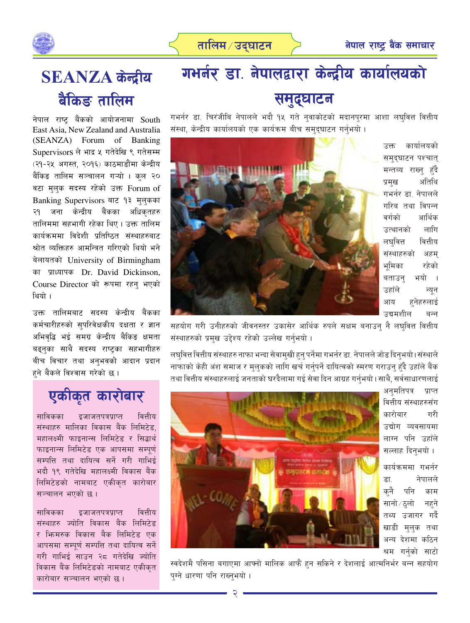



# **SEANZA** केन्द्रीय बैंकिङ तालिम

नेपाल राष्ट बैंकको आयोजनामा South East Asia, New Zealand and Australia (SEANZA) Forum of Banking Supervisors ले भाद्र ५ गतेदेखि ९ गतेसम्म (२१-२५ अगस्त, २०१६) काठमाडौंमा केन्द्रीय बैंकिङ तालिम सञ्चालन गऱ्यो । कुल २**०** वटा मुलुक सदस्य रहेको उक्त Forum of Banking Supervisors बाट १३ मलकका २१ जना केन्द्रीय बैंकका अधिकतहरु तालिममा सहभागी रहेका थिए । उक्त तालिम कार्यक्रममा विदेशी प्रतिष्ठित संस्थाहरुबाट श्रोत व्यक्तिहरु आमन्त्रित गरिएको थियो भने बेलायतको University of Birmingham का प्राध्यापक Dr. David Dickinson, Course Director को रूपमा रहन् भएको थियो ।

उक्त तालिमबाट सदस्य केन्द्रीय बैंकका कर्मचारीहरुको सुपरिवेक्षकीय दक्षता र ज्ञान अभिवृद्धि भई समग्र केन्द्रीय बैकिङ क्षमता बढ्नुका साथै सदस्य राष्ट्रका सहभागीहरु बीच विचार तथा अनुभवको आदान प्रदान हने बैंकले विश्वास गरेको छ ।

## एकीकृत कारोबार

साविकका इजाजतपत्रप्राप्त वित्तीय संस्थाहरु मालिका विकास बैंक लिमिटेड. महालक्ष्मी फाइनान्स लिमिटेड र सिद्धार्थ फाइनान्स लिमिटेड एक आपसमा सम्पूर्ण सम्पत्ति तथा दायित्व सर्ने गरी गाभिई भदौ १९ गतेदेखि महालक्ष्मी विकास बैंक लिमिटेडको नामबाट एकीकृत कारोबार सञ्चालन भएको छ।

साविकका इजाजतपत्रप्राप्त वित्तीय संस्थाहरु ज्योति विकास बैंक लिमिटेड र भिामरुक विकास बैक लिमिटेड एक आपसमा सम्पर्ण सम्पत्ति तथा दायित्व सर्ने गरी गाभिई साउन २८ गतेदेखि ज्योति विकास बैंक लिमिटेडको नामबाट एकीकृत कारोबार सञ्चालन भएको छ।

# गभर्नर डा. नेपालद्वारा केन्द्रीय कार्यालयको समुद्घाटन

गभर्नर डा. चिरंजीबि नेपालले भदौ १<mark>४ गते न्</mark>वाकोटको मदानप्**रमा आशा लघ्**वित्त वित्तीय संस्था, केन्द्रीय कार्यालयको एक कार्यक्रम बीच समुदुघाटन गर्नुभयो ।



उक्त कार्यालयको समदघाटन पश्चात् मन्तव्य राख्न हँदै प्रमुख अतिथि गभर्नर डा. नेपालले गरिब तथा विपन्न वर्गको आर्थिक उत्थानको लागि लघवित्त वित्तीय संस्थाहरुको अहम भूमिका रहेको बताउन भयो । उहाँले न्यून आय हनेहरुलाई उद्यमशील बन्न

सहयोग गरी उनीहरुको जीवनस्तर उकासेर आर्थिक रुपले सक्षम बनाउन् नै लघुवित्त वित्तीय संस्थाहरुको प्रमुख उद्देश्य रहेको उल्लेख गर्नुभयो ।

लघवित्त वित्तीय संस्थाहरु नाफा भन्दा सेवामुखी हुन् पर्नेमा गभर्नर डा. नेपालले जोड दिन्भयो।संस्थाले नाफाको केही अंश समाज र मुलुकको लागि खर्च गर्नुपर्ने दायित्वको स्मरण गराउनु हुँदै उहाँले बैंक तथा वित्तीय संस्थाहरुलाई जनताको घरदैलामा गई सेवा दिन आग्रह गर्न्भयो। साथै, सर्वसाधारणलाई

> अनमतिपत्र प्राप्त वित्तीय संस्थाहरुसँग कारोबार गरी उद्योग व्यवसायमा लाग्न पनि उहाँले सल्लाह दिनभयो।

कार्यक्रममा गभर्नर डा. नेपालले कनै पनि काम सानो ⁄ ठ्लो नहने तथ्य उजागर गर्दै खाडी मुलुक तथा अन्य देशमा कठिन श्रम गर्नुको साटो



स्वदेशमै पसिना बगाएमा आफ्नो मालिक आफैं हन सकिने र देशलाई आत्मनिर्भर बन्न सहयोग पग्ने धारणा पनि राख्नुभयो।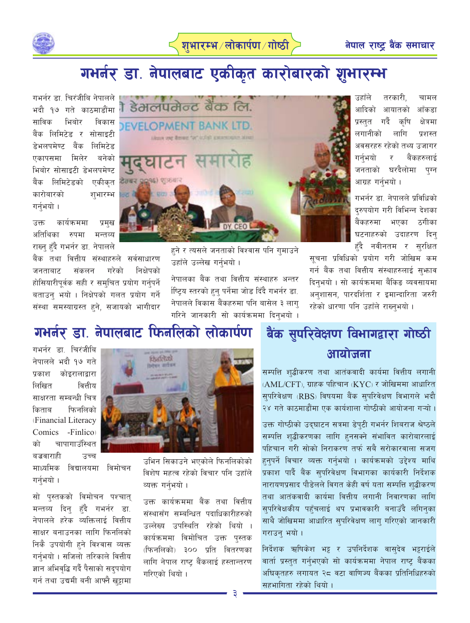



## गभर्नर डा. नेपालबाट एकीकृत कारोबारको शुभारम्भ

गभर्नर डा. चिरंजीबि नेपालले भदौ १७ गते काठमाडौंमा साविक भिबोर विकास बैंक लिमिटेड र सोसाइटी डेभलपमेण्ट बैंक लिमिटेड एकापसमा मिलेर बनेको भिबोर सोसाइटी डेभलपमेण्ट बैंक लिमिटेडको एकीकृत कारोबारको शुभारम्भ गर्नुभयो ।

कार्यक्रममा प्रमुख उक्त अतिथिका रुपमा मन्तव्य राख्न् हुँदै गभर्नर डा. नेपालले

बैंक तथा वित्तीय संस्थाहरुले सर्वसाधारण निक्षेपको जनताबाट संकलन गरेको होसियारीपुर्वक सही र समुचित प्रयोग गर्नुपर्ने बताउन् भयो । निक्षेपको गलत प्रयोग गर्ने संस्था समस्याग्रस्त हुने, सजायको भागी<mark>दा</mark>र



हुने र त्यसले जनताको विश्वास पनि गुमाउने उहाँले उल्लेख गर्नुभयो ।

नेपालका बैंक तथा वित्तीय संस्थाहरु अन्तर र्षिट्य स्तरको हुनु पर्नेमा जोड दिँदै गभर्नर डा. नेपालले विकास बैंकहरुमा पनि बासेल ३ लाग् गरिने जानकारी सो कार्यक्रममा दिनुभयो ।

उहाँले तरकारी. चामल आदिको आयातको आँकड़ा प्रस्तत गर्दै कृषि क्षेत्रमा लगानीको लागि प्रशस्त अवसरहरु रहेको तथ्य उजागर गर्नभयो बैंकहरुलाई र जनताको घरदैलोमा पग्न आग्रह गर्नभयो ।

गभर्नर डा. नेपालले प्रविधिको द्रुपयोग गरी विभिन्न देशका बैंकहरुमा भएका ठगीका घटनाहरुको उदाहरण दिन् हँदै नवीनतम र सुरक्षित

सूचना प्रविधिको प्रयोग गरी जोखिम कम गर्न बैंक तथा वित्तीय संस्थाहरुलाई सुभ्फाव दिनभयो । सो कार्यक्रममा बैंकिङ व्यवसायमा अनशासन, पारदर्शिता र इमान्दारिता जरुरी रहेको धारणा पनि उहाँले राख्नुभयो ।

### गभर्नर डा. नेपालबाट फिनलिको लोकार्पण

गभर्नर डा चिरंजीबि नेपालले भदौ १७ गते प्रकाश कोइरालाद्वारा लिखित वित्तीय साक्षरता सम्बन्धी चित्र किताब फिनलिको (Financial Literacy Comics -Finlico चापागाउँस्थित को बज्रवाराही उच्च

माध्यमिक विद्यालयमा विमोचन गर्नुभयो ।

सो पुस्तकको विमोचन पश्चात् मन्तव्य दिन् हँदै गभर्नर डा. नेपालले हरेक व्यक्तिलाई वित्तीय साक्षर बनाउनका लागि फिनलिको निकै उपयोगी हने विश्वास व्यक्त गर्नुभयो । सजिलो तरिकाले वित्तीय ज्ञान अभिवृद्धि गर्दै पैसाको सदपयोग गर्न तथा उद्यमी बनी आफ्नै खट्टामा



उभिन सिकाउने भएकोले फिनलिकोको विशेष महत्व रहेको विचार पनि उहाँले व्यक्त गर्नुभयो ।

उक्त कार्यक्रममा बैंक तथा वित्तीय संस्थासँग सम्बन्धित पदाधिकारीहरुको उल्लेख्य उपस्थिति रहेको थियो । कार्यक्रममा विमोचित उक्त पस्तक (फिनलिको) ३०० प्रति वितरणका लागि नेपाल राष्ट्र बैंकलाई हस्तान्तरण गरिएको थियो।

### बैंक सुपरिवेक्षण विभागद्वारा गोष्ठी आयोजना

सम्पत्ति श्द्धीकरण तथा आतंकवादी कार्यमा वित्तीय लगानी (AML/CFT), ग्राहक पहिचान (KYC) र जोखिममा आधारित सुपरिवेक्षण (RBS) विषयमा बैंक सुपरिवेक्षण विभागले भदौ २४ गते काठमाडौंमा एक कार्यशाला गोष्ठीको आयोजना गऱ्यो ।

उक्त गोष्ठीको उद्घाटन सत्रमा डेपुटी गभर्नर शिबराज श्रेष्ठले सम्पत्ति शुद्धीकरणका लागि हनसक्ने संभावित कारोबारलाई पहिचान गरी सोको निराकरण तर्फ सबै सरोकारवाला सजग हनुपर्ने विचार व्यक्त गर्नुभयो । कार्यक्रमको उद्देश्य माथि प्रकाश पार्दै बैंक सपरिवेक्षण विभागका कार्यकारी निर्देशक नारायणप्रसाद पौडेलले विगत केही वर्ष यता सम्पत्ति शुद्धीकरण तथा आतंकवादी कार्यमा वित्तीय लगानी निवारणका लागि सुपरिवेक्षकीय पहुँचलाई थप प्रभावकारी बनाउँदै लगिनुका साथै जोखिममा आधारित सुपरिवेक्षण लाग् गरिएको जानकारी गराउन भयो।

निर्देशक ऋषिकेश भट्ट र उपनिर्देशक वासुदेव भट्टराईले वार्ता प्रस्तुत गर्नुभएको सो कार्यक्रममा नेपाल राष्ट्र बैंकका अधिकतहरु लगायत २८ वटा वाणिज्य बैंकका प्रतिनिधिहरुको सहभागिता रहेको थियो ।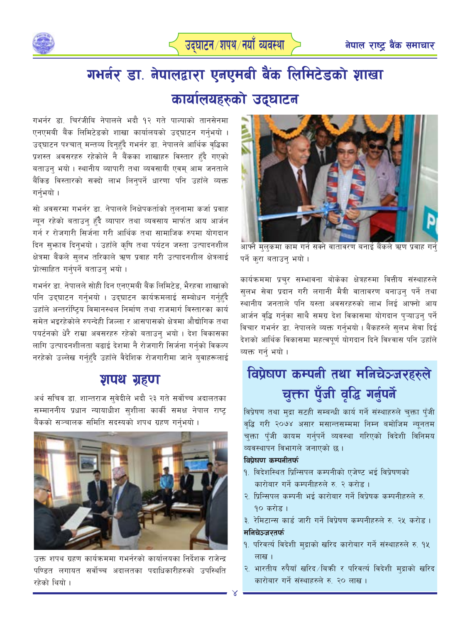

# गभर्नर डा. नेपालद्वारा एनएमबी बैंक लिमिटेडको शाखा कार्यालयहरुको उद्घाटन

गभर्नर डा. चिरंजीबि नेपालले भदौ १२ गते पाल्पाको तानसेनमा एनएमबी बैंक लिमिटेडको शाखा कार्यालयको उद्घाटन गर्नुभयो । उद्घाटन पश्चात् मन्तव्य दिनुहुँदै गभर्नर डा. नेपालले आर्थिक वृद्धिका प्रशस्त अवसरहरु रहेकोले नै बैंकका शाखाहरु विस्तार हुँदै गएको बताउन् भयो । स्थानीय व्यापारी तथा व्यवसायी एवम् आम जनताले बैंकिङ विस्तारको सक्दो लाभ लिनुपर्ने धारणा पनि उहाँले व्यक्त गर्नुभयो ।

सो अवसरमा गभर्नर डा. नेपालले निक्षेपकर्ताको तुलनामा कर्जा प्रवाह न्युन रहेको बताउन् हुँदै व्यापार तथा व्यवसाय मार्फत आय आर्जन गर्न र रोजगारी सिर्जना गरी आर्थिक तथा सामाजिक रुपमा योगदान दिन सुभाव दिनुभयो । उहाँले कृषि तथा पर्यटन जस्ता उत्पादनशील क्षेत्रमा बैंकले सलभ तरिकाले ऋण प्रवाह गरी उत्पादनशील क्षेत्रलाई प्रोत्साहित गर्नुपर्ने बताउन् भयो।

गभर्नर डा. नेपालले सोही दिन एनएमबी बैंक लिमिटेड, भैरहवा शाखाको पनि उद्घाटन गर्नुभयो । उद्घाटन कार्यक्रमलाई सम्बोधन गर्नुहुँदै उहाँले अन्तर्राष्टिय विमानस्थल निर्माण तथा राजमार्ग विस्तारका कार्य समेत भइरहेकोले रुपन्देही जिल्ला र आसपासको क्षेत्रमा औद्योगिक तथा पयर्टनको धेरै राम्रा अवसरहरु रहेको बताउन् भयो । देश विकासका लागि उत्पादनशीलता बढाई देशमा नै रोजगारी सिर्जना गर्नुको विकल्प नरहेको उल्लेख गर्न्हुदै उहाँले वैदेशिक रोजगारीमा जाने युवाहरूलाई

### शपथ ग्रहण

अर्थ सचिव डा. शान्तराज सुवेदीले भदौ २३ गते सर्वोच्च अदालतका सम्माननीय प्रधान न्यायाधीश सशीला कार्की समक्ष नेपाल राष्ट बैंकको सञ्चालक समिति सदस्यको शपथ ग्रहण गर्नुभयो ।



उक्त शपथ ग्रहण कार्यक्रममा गभर्नरको कार्यालयका निर्देशक राजेन्द्र पण्डित लगायत सर्वोच्च अदालतका पदाधिकारीहरुको उपस्थिति रहेको थियो ।



आफ्नै मुलुकमा काम गर्न सक्ने वातावरण बनाई बैंकले ऋण प्रवाह गर्न पर्ने करा बताउन् भयो।

कार्यक्रममा प्रचुर सम्भावना बोकेका क्षेत्रहरुमा वित्तीय संस्थाहरुले सुलभ सेवा प्रदान गरी लगानी मैत्री वातावरण बनाउन् पर्ने तथा स्थानीय जनताले पनि यस्ता अवसरहरुको लाभ लिई आफ्नो आय आर्जन वृद्धि गर्नुका साथै समग्र देश विकासमा योगदान पुऱ्याउनु पर्ने विचार गभर्नर डा. नेपालले व्यक्त गर्नुभयो । बैंकहरुले सुलभ सेवा दिई देशको आर्थिक विकासमा महत्वपूर्ण योगदान दिने विश्वास पनि उहाँले व्यक्त गर्न भयो।

## विप्रेषण कम्पनी तथा मनिचेञ्जरहरुले चुक्ता पुँजी वृद्धि गर्नुपर्ने

विप्रेषण तथा मुद्रा सटही सम्बन्धी कार्य गर्ने संस्थाहरुले चुक्ता पँजी वृद्धि गरी २०७४ असार मसान्तसम्ममा निम्न बमोजिम न्यूनतम चक्ता पँजी कायम गर्नपर्ने व्यवस्था गरिएको विदेशी विनिमय व्यवस्थापन विभागले जनाएको छ।

#### विप्रेषण कम्पनीतर्फ

- १. विदेशस्थित प्रिन्सिपल कम्पनीको एजेण्ट भई विप्रेषणको कारोबार गर्ने कम्पनीहरुले रु २ करोड़।
- २. प्रिन्सिपल कम्पनी भई कारोबार गर्ने विप्रेषक कम्पनीहरुले रु. 90 करोड़।
- ३. रेमिटान्स कार्ड जारी गर्ने विप्रेषण कम्पनीहरुले रु. २५ करोड़। मनिचेञ्जरतर्फ
- १. परिवर्त्य विदेशी मुद्राको खरिद कारोबार गर्ने संस्थाहरुले रु. १५ लाख ।
- २. भारतीय रुपैयाँ खरिद ∕बिकी र परिवर्त्य विदेशी मुद्राको खरिद कारोबार गर्ने संस्थाहरुले रु. २० लाख।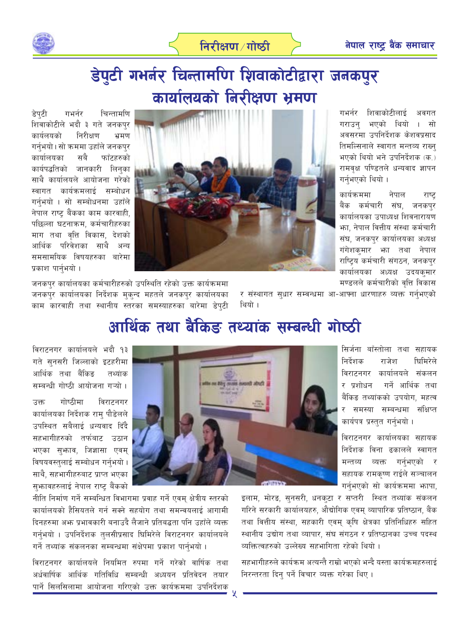

## डेपुटी गभर्नर चिन्तामणि शिवाकोटीद्वारा जनकपुर कार्यालयको निरीक्षण भ्रमण

डेपटी गभर्नर चिन्तामणि शिवाकोटीले भदौ ३ गते जनकपुर कार्यलयको निरीक्षण भ्रमण गर्नभयो। सो क्रममा उहाँले जनकपर कार्यालयका सबै फाँटहरुको कार्यपद्धतिको जानकारी लिनुका साथै कार्यालयले आयोजना गरेको स्वागत कार्यक्रमलाई सम्बोधन गर्नुभयो । सो सम्बोधनमा उहाँले नेपाल राष्ट् बैंकका काम कारवाही, पछिल्ला घटनाक्रम, कर्मचारीहरुका माग तथा वृत्ति विकास, देशको आर्थिक परिवेशका साथै अन्य समसामयिक विषयहरुका बारेमा प्रकाश पार्नुभयो ।



गभर्नर शिवाकोटीलाई अवगत भएको थियो । सो गराउन अवसरमा उपनिर्देशक केशवप्रसाद तिमल्सिनाले स्वागत मन्तव्य राख्न भएको थियो भने उपनिर्देशक (क.) रामवृक्ष पण्डितले धन्यवाद ज्ञापन गर्नुभएको थियो ।

कार्यक्रममा नेपाल राष्ट बैंक कर्मचारी संघ, जनकपर कार्यालयका उपाध्यक्ष शिवनारायण भ्रा. नेपाल वित्तीय संस्था कर्मचारी संघ, जनकपुर कार्यालयका अध्यक्ष गंगेशकुमार भा तथा नेपाल राष्ट्रिय कर्मचारी संगठन, जनकपुर कार्यालयका अध्यक्ष उदयकुमार मण्डलले कर्मचारीको वृत्ति विकास

जनकपुर कार्यालयका कर्मचारीहरुको उपस्थिति रहेको उक्त कार्यक्रममा जनकपुर कार्यालयका निर्देशक मुक्न्द महतले जनकपुर कार्यालयका काम कारवाही तथा स्थानीय स्तरका समस्याहरुका बारेमा डेपुटी

र संस्थागत सुधार सम्बन्धमा आ-आफ्ना धारणाहरु व्यक्त गर्नभएको थियो ।

### आर्थिक तथा बैंकिङ तथ्यांक सम्बन्धी गोष्ठी

विराटनगर कार्यालयले भदौ १३ गते सुनसरी जिल्लाको इटहरीमा आर्थिक तथा बैंकिङ तथ्यांक सम्बन्धी गोष्ठी आयोजना गऱ्यो ।

गोष्ठीमा विराटनगर उक्त कार्यालयका निर्देशक रामु पौडेलले उपस्थित सबैलाई धन्यवाद दिँदै सहभागीहरुको तर्फबाट उठान भएका सुभ्राव, जिज्ञासा एवम् विषयवस्तुलाई सम्बोधन गर्नभयो । साथै, सहभागीहरुबाट प्राप्त भएका सुभ्रावहरुलाई नेपाल राष्ट्र बैंकको



सिर्जना बाँस्तोला तथा सहायक निर्देशक राजेश धिमिरेले विराटनगर कार्यालयले संकलन र प्रशोधन गर्ने आर्थिक तथा बैंकिङ तथ्यांकको उपयोग, महत्व र समस्या सम्बन्धमा संक्षिप्त कार्यपत्र प्रस्तुत गर्नुभयो ।

विराटनगर कार्यालयका सहायक निर्देशक विना ढकालले स्वागत मन्तव्य व्यक्त गर्नुभएको र सहायक रामकृष्ण राईले सञ्चालन गर्नुभएको सो कार्यक्रममा भगपा,

नीति निर्माण गर्ने सम्बन्धित विभागमा प्रवाह गर्ने एवम् क्षेत्रीय स्तरको कार्यालयको हैसियतले गर्न सक्ने सहयोग तथा समन्वयलाई आगामी दिनहरुमा अफ्र प्रभावकारी बनाउदै लैजाने प्रतिबद्धता पनि उहाँले व्यक्त गर्नुभयो । उपनिर्देशक तुलसीप्रसाद घिमिरेले विराटनगर कार्यालयले गर्ने तथ्यांक संकलनका सम्बन्धमा संक्षेपमा प्रकाश पार्नुभयो ।

विराटनगर कार्यालयले नियमित रुपमा गर्ने गरेको वार्षिक तथा अर्धवार्षिक आर्थिक गतिविधि सम्बन्धी अध्ययन प्रतिवेदन तयार पार्ने सिलसिलामा आयोजना गरिएको उक्त कार्यक्रममा उपनिर्देशक

इलाम, मोरङ, सुनसरी, धनकुटा र सप्तरी स्थित तथ्यांक संकलन गरिने सरकारी कार्यालयहरु, औद्योगिक एवम् व्यापारिक प्रतिष्ठान, बैंक तथा वित्तीय संस्था, सहकारी एवम् कृषि क्षेत्रका प्रतिनिधिहरु सहित स्थानीय उद्योग तथा व्यापार, संघ संगठन र प्रतिष्ठानका उच्च पदस्थ व्यक्तित्वहरुको उल्लेख्य सहभागिता रहेको थियो।

सहभागीहरुले कार्यक्रम अत्यन्तै राम्रो भएको भन्दै यस्ता कार्यक्रमहरुलाई निरन्तरता दिन् पर्ने विचार व्यक्त गरेका थिए ।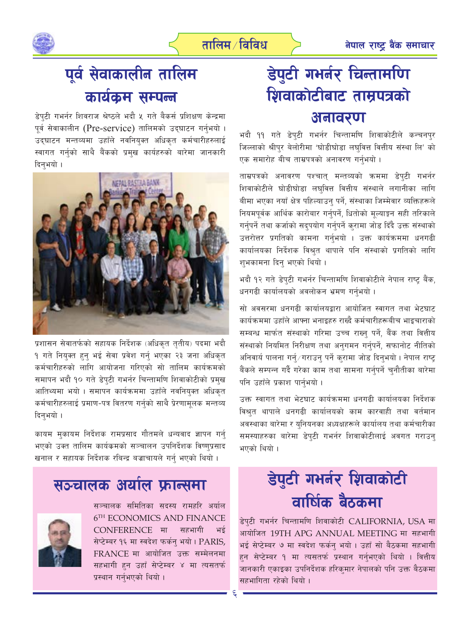

## पूर्व सेवाकालीन तालिम कार्यक्रम सम्पन्न

डेपुटी गभर्नर शिवराज श्रेष्ठले भदौ ५ गते बैकर्स प्रशिक्षण केन्द्रमा पूर्व सेवाकालीन (Pre-service) तालिमको उद्घाटन गर्नुभयो । उद्घाटन मन्तव्यमा उहाँले नवनियुक्त अधिकृत कर्मचारीहरुलाई स्वागत गर्नुको साथै बैंकको प्रमुख कार्यहरुको बारेमा जानकारी दिनभयो ।



प्रशासन सेवातर्फको सहायक निर्देशक (अधिकृत तृतीय) पदमा भदौ १ गते नियुक्त हुनु भई सेवा प्रवेश गर्नु भएका २३ जना अधिकृत कर्मचारीहरुको लागि आयोजना गरिएको सो तालिम कार्यक्रमको समापन भदौ १० गते डेपुटी गभर्नर चिन्तामणि शिवाकोटीको प्रमुख आतिथ्यमा भयो । समापन कार्यक्रममा उहाँले नवनियुक्त अधिकृत कर्मचारीहरुलाई प्रमाण-पत्र वितरण गर्नुको साथै प्रेरणामूलक मन्तव्य दिन्भयो ।

कायम मुकायम निर्देशक रामप्रसाद गौतमले धन्यवाद ज्ञापन गर्नु भएको उक्त तालिम कार्यक्रमको सञ्चालन उपनिर्देशक विष्णुप्रसाद खनाल र सहायक निर्देशक रबिन्द्र बज्राचायले गर्न भएको थियो।

### सञ्चालक अर्याल फ्रान्समा



सञ्चालक समितिका सदस्य रामहरि अर्याल 6TH ECONOMICS AND FINANCE **CONFERENCE मा** सहभागी सेप्टेम्बर १६ मा स्वदेश फर्कन् भयो। PARIS, FRANCE मा आयोजित उक्त सम्मेलनमा सहभागी हुन उहाँ सेप्टेम्बर ४ मा त्यसतर्फ प्रस्थान गर्नुभएको थियो ।

## डेपुटी गभर्नर चिन्तामणि शिवाकोटीबाट ताम्रपत्रको अनावरण

भदौ ११ गते डेपुटी गभर्नर चिन्तामणि शिवाकोटीले कन्चनपुर जिल्लाको श्रीपुर बेलोरीमा 'घोडीघोडा लघुवित्त वित्तीय संस्था लि' को एक समारोह बीच ताम्रपत्रको अनावरण गर्नुभयो ।

ताम्रपत्रको अनावरण पश्चात मन्तव्यको क्रममा डेपटी गभर्नर शिवाकोटीले घोडीघोडा लघुवित्त वित्तीय संस्थाले लगानीका लागि बीमा भएका नयाँ क्षेत्र पहिल्याउन् पर्ने, संस्थाका जिम्मेवार व्यक्तिहरूले नियमपूर्वक आर्थिक कारोबार गर्नुपर्ने, धितोको मुल्याङ्कन सही तरिकाले गर्नुपर्ने तथा कर्जाको सदुपयोग गर्नुपर्ने कुरामा जोड दिँदै उक्त संस्थाको उत्तरोत्तर प्रगतिको कामना गर्नभयो । उक्त कार्यक्रममा धनगढी कार्यालयका निर्देशक विश्रुत थापाले पनि संस्थाको प्रगतिको लागि शुभकामना दिन् भएको थियो ।

भदौ १२ गते डेपुटी गभर्नर चिन्तामणि शिवाकोटीले नेपाल राष्ट् बैंक, धनगढी कार्यालयको अवलोकन भ्रमण गर्नुभयो ।

सो अवसरमा धनगढी कार्यालयद्वारा आयोजित स्वागत तथा भेटघाट कार्यक्रममा उहाँले आफ्ना भनाइहरु राख्दै कर्मचारीहरूबीच भाइचाराको सम्बन्ध मार्फत संस्थाको गरिमा उच्च राख्नु पर्ने, बैंक तथा वित्तीय संस्थाको नियमित निरीक्षण तथा अनुगमन गर्नुपर्ने, सफानोट नीतिको अनिवार्य पालना गर्न्∕गराउन् पर्ने क्रामा जोड दिन्भयो । नेपाल राष्ट् बैंकले सम्पन्न गर्दै गरेका काम तथा सामना गर्नुपर्ने चुनौतीका बारेमा पनि उहाँले प्रकाश पार्नुभयो ।

उक्त स्वागत तथा भेटघाट कार्यक्रममा धनगढी कार्यालयका निर्देशक विश्रुत थापाले धनगढी कार्यालयको काम कारवाही तथा वर्तमान अवस्थाका बारेमा र युनियनका अध्यक्षहरूले कार्यालय तथा कर्मचारीका समस्याहरुका बारेमा डेपटी गभर्नर शिवाकोटीलाई अवगत गराउन् भएको थियो ।

# डेपुटी गभर्नर शिवाकोटी वार्षिक बैठकमा

डेपुटी गभर्नर चिन्तामणि शिवाकोटी CALIFORNIA, USA मा आयोजित 19TH APG ANNUAL MEETING मा सहभागी भई सेप्टेम्बर ७ मा स्वदेश फर्कन् भयो । उहाँ सो बैठकमा सहभागी हन सेप्टेम्बर १ मा त्यसतर्फ प्रस्थान गर्न्भएको थियो । वित्तीय जानकारी एकाइका उपनिर्देशक हरिकुमार नेपालको पनि उक्त बैठकमा सहभागिता रहेको थियो।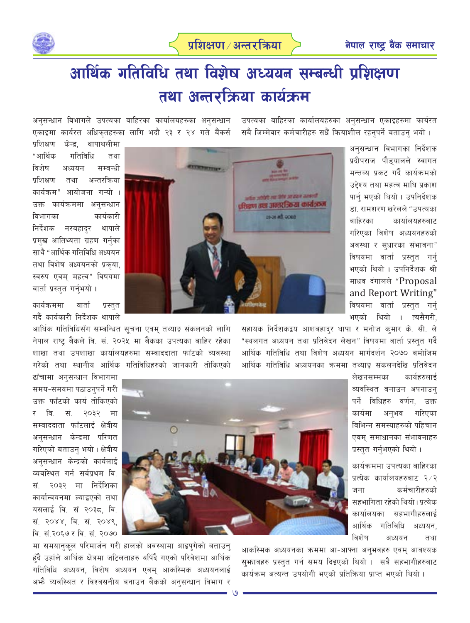उपत्यका बाहिरका कार्यालयहरुका अनसन्धान एकाइहरुमा कार्यरत

सबै जिम्मेवार कर्मचारीहरु सधैं क्रियाशील रहनुपर्ने बताउन भयो।



# आर्थिक गतिविधि तथा विशेष अध्ययन सम्बन्धी प्रशिक्षण तथा अन्तरक्रिया कार्यक्रम

अनसन्धान विभागले उपत्यका बाहिरका कार्यालयहरुका अनसन्धान एकाइमा कार्यरत अधिकृतहरुका लागि भदौ २३ र २४ गते बैंकर्स

> अनुसन्धान विभागका निर्देशक प्रदीपराज पौडयालले स्वागत मन्तव्य प्रकट गर्दै कार्यक्रमको उद्देश्य तथा महत्व माथि प्रकाश पार्न भएको थियो । उपनिर्देशक डा. रामशरण खरेलले "उपत्यका बाहिरका कार्यालयहरुबाट गरिएका विशेष अध्ययनहरुको अवस्था र सुधारका संभावना" विषयमा वार्ता प्रस्तुत गर्न भएको थियो । उपनिर्देशक श्री माधव दंगालले "Proposal and Report Writing" विषयमा वार्ता प्रस्तुत गर्न भएको थियो । त्यसैगरी,

सहायक निर्देशकद्वय आशबहादुर थापा र मनोज कमार के. सी. ले "स्थलगत अध्ययन तथा प्रतिवेदन लेखन" विषयमा वार्ता प्रस्तुत गर्दै आर्थिक गतिविधि तथा विशेष अध्ययन मार्गदर्शन २०७० बमोजिम आर्थिक गतिविधि अध्ययनका ऋममा तथ्याङ् संकलनदेखि प्रतिवेदन

> कार्यहरुलाई लेखनसम्मका व्यवस्थित बनाउन अपनाउन् पर्ने विधिहरु वर्णन. उक्त कार्यमा अनुभव गरिएका विभिन्न समस्याहरुको पहिचान एवम समाधानका संभावनाहरु प्रस्तुत गर्नुभएको थियो।

कार्यक्रममा उपत्यका बाहिरका प्रत्येक कार्यालयहरुबाट २⁄२ कर्मचारीहरुको जना सहभागिता रहेको थियो। प्रत्येक कार्यालयका सहभागीहरुलाई आर्थिक गतिविधि अध्ययन. विशेष अध्ययन तथा

आकस्मिक अध्ययनका क्रममा आ-आफ्ना अनुभवहरु एवम् आवश्यक सुभावहरु प्रस्तुत गर्न समय दिइएको थियो । सबै सहभागीहरुबाट कार्यक्रम अत्यन्त उपयोगी भएको प्रतिक्रिया प्राप्त भएको थियो।

केन्द्र. थापाथलीमा प्रशिक्षण "आर्थिक गतिविधि तथा विशेष अध्ययन सम्बन्धी प्रशिक्षण अन्तरक्रिया तथा कार्यक्रम" आयोजना गऱ्यो । उक्त कार्यक्रममा अनुसन्धान विभागका कार्यकारी निर्देशक नरबहाद्र थापाले प्रमुख आतिथ्यता ग्रहण गर्नुका साथै "आर्थिक गतिविधि अध्ययन तथा विशेष अध्ययनको प्रकृया, स्वरुप एवम् महत्व" विषयमा वार्ता प्रस्तुत गर्नुभयो ।

कार्यक्रममा वार्ता प्रस्तत गर्दै कार्यकारी निर्देशक थापाले

आर्थिक गतिविधिसँग सम्बन्धित सुचना एवम् तथ्याङ्क संकलनको लागि नेपाल राष्ट्र बैंकले वि. सं. २०२५ मा बैंकका उपत्यका बाहिर रहेका शाखा तथा उपशाखा कार्यालयहरुमा सम्वाददाता फाँटको व्यवस्था गरेको तथा स्थानीय आर्थिक गतिविधिहरुको जानकारी तोकिएको

 $\circ$ 

ढाँचामा अनुसन्धान विभागमा समय-समयमा पठाउनुपर्ने गरी उक्त फाँटको कार्य तोकिएको वि. सं २०३२ मा  $\overline{v}$ सम्वाददाता फाँटलाई क्षेत्रीय अनुसन्धान केन्द्रमा परिणत गरिएको बताउनु भयो। क्षेत्रीय अनुसन्धान केन्द्रको कार्यलाई व्यवस्थित गर्न सर्वप्रथम वि. २०३२ मा निर्देशिका सं. कार्यान्वयनमा ल्याइएको तथा यसलाई वि. सं २०३८, वि. सं. २०४४, वि. सं. २०४९, वि. सं.२०६७ र वि. सं. २०७०

मा समयानुकूल परिमार्जन गरी हालको अवस्थामा आइपुगेको बताउनु हुँदै उहाँले आर्थिक क्षेत्रमा जटिलताहरु थपिँदै गएको परिवेशमा आर्थिक गतिविधि अध्ययन, विशेष अध्ययन एवम् आकस्मिक अध्ययनलाई अभौ व्यवस्थित र विश्वसनीय बनाउन बैंकको अनुसन्धान विभाग र



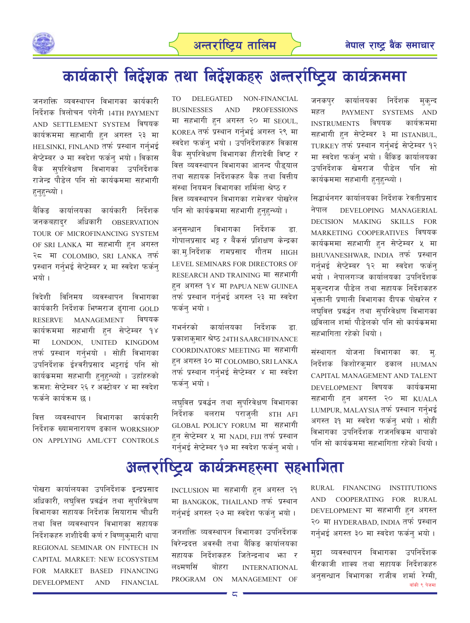

## कार्यकारी निर्देशक तथा निर्देशकहरु अन्तर्राष्ट्रिय कार्यक्रममा

जनशक्ति व्यवस्थापन विभागका कार्यकारी निर्देशक त्रिलोचन पंगेनी 14TH PAYMENT AND SETTLEMENT SYSTEM विषयक कार्यक्रममा सहभागी हन अगस्त २३ मा HELSINKI, FINLAND तर्फ प्रस्थान गर्नभई सेप्टेम्बर ७ मा स्वदेश फर्कन भयो। विकास बैंक सुपरिवेक्षण विभागका उपनिर्देशक राजेन्द्र पौडेल पनि सो कार्यकममा सहभागी हनुहन्थ्यो ।

बैंकिङ कार्यालयका कार्यकारी निर्देशक जनकबहादर अधिकारी **OBSERVATION** TOUR OF MICROFINANCING SYSTEM OF SRI LANKA मा सहभागी हन अगस्त २८ मा COLOMBO, SRI LANKA तर्फ प्रस्थान गर्नुभई सेप्टेम्बर ५ मा स्वदेश फर्कन् भयो ।

विदेशी विनिमय व्यवस्थापन विभागका कार्यकारी निर्देशक भिष्मराज ढंगाना GOLD **RESERVE MANAGEMENT** विषयक कार्यक्रममा सहभागी हुन सेप्टेम्बर १४ LONDON, UNITED KINGDOM मा तर्फ प्रस्थान गर्नुभयो । सोही विभागका उपनिर्देशक ईश्वरीप्रसाद भट्टराई पनि सो कार्यकममा सहभागी हुनुहुन्थ्यो । उहाँहरुको क्रमश: सेप्टेम्बर २६ र अक्टोबर ४ मा स्वदेश फर्कने कार्यक्रम छ ।

वित्त व्यवस्थापन विभागका कार्यकारी निर्देशक ख्यामनारायण ढकाल WORKSHOP ON APPLYING AML/CFT CONTROLS

DELEGATED NON-FINANCIAL TO T **BUSINESSES AND PROFESSIONS** मा सहभागी हुन अगस्त २० मा SEOUL, KOREA तर्फ प्रस्थान गर्न्भई अगस्त २९ मा स्वदेश फर्कन् भयो । उपनिर्देशकहरु विकास बैंक सपरिवेक्षण विभागका हीरादेवी विष्ट र वित्त व्यवस्थापन विभागका आनन्द पौडयाल तथा सहायक निर्देशकहरु बैंक तथा वित्तीय संस्था नियमन विभागका शर्मिला श्रेष्ठ र वित्त व्यवस्थापन विभागका रामेश्वर पोखरेल पनि सो कार्यक्रममा सहभागी हनहन्थ्यो ।

विभागका निर्देशक अनसन्धान डा गोपालप्रसाद भट्ट र बैंकर्स प्रशिक्षण केन्द्रका का.म.निर्देशक रामप्रसाद गौतम HIGH LEVEL SEMINARS FOR DIRECTORS OF RESEARCH AND TRAINING मा सहभागी हन अगस्त १४ मा PAPUA NEW GUINEA तर्फ प्रस्थान गर्नुभई अगस्त २३ मा स्वदेश फर्कन भयो ।

गभर्नरको कार्यालयका निर्देशक डा. प्रकाशकुमार श्रेष्ठ 24TH SAARCHFINANCE COORDINATORS' MEETING मा सहभागी हन अगस्त ३० मा COLOMBO, SRI LANKA तर्फ प्रस्थान गर्नभई सेप्टेम्बर ४ मा स्वदेश फर्कन् भयो ।

लघुवित्त प्रवर्द्धन तथा सुपरिवेक्षण विभागका निर्देशक बलराम पराजली 8TH AFI GLOBAL POLICY FORUM मा सहभागी हुन सेप्टेम्बर ५ मा NADI FIJI तर्फ प्रस्थान गर्नुभई सेप्टेम्बर १७ मा स्वदेश फर्कन भयो । जनकपुर कार्यालयका निर्देशक मकन्द महत PAYMENT SYSTEMS AND INSTRUMENTS विषयक कार्यक्रममा सहभागी हन सेप्टेम्बर ३ मा ISTANBUL, TURKEY तर्फ प्रस्थान गर्नभई सेप्टेम्बर १२ मा स्वदेश फर्कन् भयो । बैंकिङ कार्यालयका उपनिर्देशक खेमराज पौडेल पनि सो कार्यक्रममा सहभागी हुनुहुन्थ्यो ।

सिद्धार्थनगर कार्यालयका निर्देशक रेवतीप्रसाद नेपाल DEVELOPING MANAGERIAL DECISION MAKING SKILLS FOR MARKETING COOPERATIVES विषयक कार्यक्रममा सहभागी हुन सेप्टेम्बर ५ मा BHUVANESHWAR, INDIA तर्फ प्रस्थान गर्नुभई सेप्टेम्बर १२ मा स्वदेश फर्कन् भयो । नेपालगञ्ज कार्यालयका उपनिर्देशक मकन्दराज पौडेल तथा सहायक निर्देशकहरु भुक्तानी प्रणाली विभागका दीपक पोखरेल र लघुवित्त प्रवर्द्धन तथा सुपरिवेक्षण विभागका छविलाल शर्मा पौडेलको पनि सो कार्यक्रममा सहभागिता रहेको थियो ।

संस्थागत योजना विभागका का म्. निर्देशक किशोरकमार ढकाल HUMAN CAPITAL MANAGEMENT AND TALENT DEVELOPMENT विषयक कार्यकममा सहभागी हन अगस्त २० मा KUALA LUMPUR, MALAYSIA तर्फ प्रस्थान गर्नभई अगस्त ३१ मा स्वदेश फर्कन भयो । सोही विभागका उपनिर्देशक राजनविकम थापाको पनि सो कार्यकममा सहभागिता रहेको थियो ।

## अन्तर्राष्ट्रिय कार्यक्रमहरुमा सहभागिता

पोखरा कार्यालयका उपनिर्देशक इन्द्रप्रसाद अधिकारी, लघुवित्त प्रवर्द्धन तथा सुपरिवेक्षण विभागका सहायक निर्देशक सियाराम चौधरी तथा वित्त व्यवस्थापन विभागका सहायक निर्देशकहरु शशीदेवी कर्ण र विष्णुकुमारी थापा REGIONAL SEMINAR ON FINTECH IN CAPITAL MARKET: NEW ECOSYSTEM FOR MARKET BASED FINANCING **DEVELOPMENT AND FINANCIAL**  INCLUSION मा सहभागी हन अगस्त २१ मा BANGKOK, THAILAND तर्फ प्रस्थान गर्नुभई अगस्त २७ मा स्वदेश फर्कन् भयो ।

जनशक्ति व्यवस्थापन विभागका उपनिर्देशक विरेन्द्रदत्त अवस्थी तथा बैंकिङ कार्यालयका सहायक निर्देशकहरु जितेन्द्रनाथ भ्रा र लक्ष्मणसिं बोहरा **INTERNATIONAL** MANAGEMENT OF PROGRAM ON

RURAL FINANCING INSTITUTIONS AND COOPERATING FOR RURAL DEVELOPMENT मा सहभागी हन अगस्त २० मा HYDERABAD, INDIA तर्फ प्रस्थान गर्नभई अगस्त ३० मा स्वदेश फर्कन भयो।

मुद्रा व्यवस्थापन विभागका उपनिर्देशक वीरकाजी शाक्य तथा सहायक निर्देशकहरु अनुसन्धान विभागका राजीव शर्मा रेग्मी, बाँकी ९ पेजमा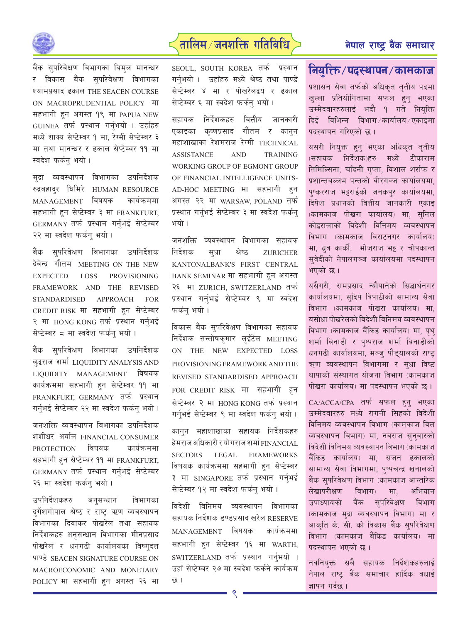



बैंक सुपरिवेक्षण विभागका बिमुल मानन्धर र विकास बैंक सुपरिवेक्षण विभागका श्यामप्रसाद ढकाल THE SEACEN COURSE ON MACROPRUDENTIAL POLICY FIT सहभागी हुन अगस्त १९ मा PAPUA NEW GUINEA तर्फ प्रस्थान गर्नुभयो । उहाँहरु मध्ये शाक्य सेप्टेम्बर १ मा, रेग्मी सेप्टेम्बर ३ मा तथा मानन्धर र ढकाल सेप्टेम्बर ११ मा स्वदेश फर्कन् भयो ।

मुद्रा व्यवस्थापन विभागका उपनिर्देशक रुद्रबहाद्र घिमिरे HUMAN RESOURCE MANAGEMENT विषयक कार्यक्रममा सहभागी हुन सेप्टेम्बर ३ मा FRANKFURT. GERMANY तर्फ प्रस्थान गर्नभई सेप्टेम्बर २२ मा स्वदेश फर्कन भयो ।

बैंक सुपरिवेक्षण विभागका उपनिर्देशक देवेन्द्र गौतम MEETING ON THE NEW **PROVISIONING EXPECTED LOSS** FRAMEWORK AND THE REVISED **STANDARDISED APPROACH FOR** CREDIT RISK मा सहभागी हन सेप्टेम्बर २ मा HONG KONG तर्फ प्रस्थान गर्नुभई सेप्टेम्बर ८ मा स्वदेश फर्कन् भयो ।

बैंक सपरिवेक्षण विभागका उपनिर्देशक ब्द्धराज शर्मा LIQUIDITY ANALYSIS AND LIQUIDITY MANAGEMENT विषयक कार्यक्रममा सहभागी हुन सेप्टेम्बर ११ मा FRANKFURT, GERMANY तर्फ प्रस्थान गर्नुभई सेप्टेम्बर २२ मा स्वदेश फर्कनु भयो ।

जनशक्ति व्यवस्थापन विभागका उपनिर्देशक शशीधर अर्याल FINANCIAL CONSUMER विषयक कार्यक्रममा **PROTECTION** सहभागी हुन सेप्टेम्बर ११ मा FRANKFURT, GERMANY तर्फ प्रस्थान गर्नभई सेप्टेम्बर २६ मा स्वदेश फर्कन् भयो ।

उपनिर्देशकहरु अनुसन्धान विभागका दुर्गेशगोपाल श्रेष्ठ र राष्ट्र ऋण व्यवस्थापन विभागका दिवाकर पोखरेल तथा सहायक निर्देशकहरु अनुसन्धान विभागका मीनप्रसाद पोखरेल र धनगढी कार्यालयका विष्णुदत्त पाण्डे SEACEN SIGNATURE COURSE ON MACROECONOMIC AND MONETARY POLICY मा सहभागी हुन अगस्त २६ मा SEOUL, SOUTH KOREA तर्फ प्रस्थान गर्नभयो । उहाँहरु मध्ये श्रेष्ठ तथा पाण्डे सेप्टेम्बर ४ मा र पोखरेलद्वय र ढकाल सेप्टेम्बर ६ मा स्वदेश फर्कनु भयो ।

सहायक निर्देशकहरु वित्तीय जानकारी एकाइका कृष्णप्रसाद गौतम र कानुन महाशाखाका रेशमराज रेग्मी TECHNICAL AND **TRAINING ASSISTANCE** WORKING GROUP OF EGMONT GROUP OF FINANCIAL INTELLIGENCE UNITS-AD-HOC MEETING मा सहभागी हुन अगस्त २२ मा WARSAW, POLAND तर्फ प्रस्थान गर्नभई सेप्टेम्बर ३ मा स्वदेश फर्कन भयो ।

जनशक्ति व्यवस्थापन विभागका सहायक निर्देशक सुधा श्रेष्ठ **ZURICHER** KANTONALBANK'S FIRST CENTRAL BANK SEMINAR मा सहभागी हन अगस्त २६ मा ZURICH, SWITZERLAND तर्फ प्रस्थान गर्नुभई सेप्टेम्बर ९ मा स्वदेश फर्कन भयो ।

विकास बैंक सुपरिवेक्षण विभागका सहायक निर्देशक सन्तोषकमार लईंटेल MEETING ON THE NEW EXPECTED **LOSS** PROVISIONING FRAMEWORK AND THE REVISED STANDARDISED APPROACH FOR CREDIT RISK मा सहभागी हन सेप्टेम्बर २ मा HONG KONG तर्फ प्रस्थान गर्नुभई सेप्टेम्बर ९ मा स्वदेश फर्कन् भयो ।

कानुन महाशाखाका सहायक निर्देशकहरु हेमराज अधिकारी र योगराज शर्मा FINANCIAL LEGAL **FRAMEWORKS SECTORS** विषयक कार्यक्रममा सहभागी हुन सेप्टेम्बर ३ मा SINGAPORE तर्फ प्रस्थान गर्न्भई सेप्टेम्बर १२ मा स्वदेश फर्कनु भयो ।

विदेशी विनिमय व्यवस्थापन विभागका सहायक निर्देशक डण्डप्रसाद खरेल RESERVE विषयक कार्यक्रममा **MANAGEMENT** सहभागी हुन सेप्टेम्बर १६ मा WARTH, SWITZERLAND तर्फ प्रस्थान गर्नभयो । उहाँ सेप्टेम्बर २७ मा स्वदेश फर्कने कार्यक्रम छ ।

### नियुक्ति/पदस्थापन/कामकाज

प्रशासन सेवा तर्फको अधिकृत तृतीय पदमा खल्ला प्रतियोगितामा सफल हुन भएका उम्मेदवारहरुलाई भदौ १ गते नियुक्ति दिई विभिन्न विभाग कार्यालय /एकाइमा पदस्थापन गरिएको छ ।

यसरी नियुक्त हुन् भएका अधिकृत तृतीय (सहायक निर्देशक)हरु मध्ये टीकाराम तिमिल्सिना, चाँदनी गुप्ता, विशाल शर्राफ र प्रशान्तबल्लभ पन्तको वीरगञ्ज कार्यालयमा. पुष्करराज भट्टराईको जनकपुर कार्यालयमा, दिपेश प्रधानको वित्तीय जानकारी एकाइ (कामकाज पोखरा कार्यालय) मा, सुनिल कोइरालाको विदेशी विनिमय व्यवस्थापन विभाग (कामकाज विराटनगर कार्यालय) मा, धूव कार्की, भोजराज भट्टू र चोपकान्त सुवेदीको नेपालगञ्ज कार्यालयमा पदस्थापन भएको छ।

यसैगरी, रामप्रसाद न्यौपानेको सिद्धार्थनगर कार्यालयमा, सुदिप त्रिपाठीको सामान्य सेवा विभाग (कामकाज पोखरा कार्यालय) मा. यसोधा पोखरेलको विदेशी विनिमय व्यवस्थापन विभाग (कामकाज बैंकिङ कार्यालय) मा, पथ शर्मा बिनाडी र पुष्पराज शर्मा बिनाडीको धनगढी कार्यालयमा, मञ्जु पौड्यालको राष्ट्र ऋण व्यवस्थापन विभागमा र सधा विष्ट थापाको संस्थागत योजना विभाग (कामकाज पोखरा कार्यालय) मा पदस्थापन भएको छ।

CA/ACCA/CPA तर्फ सफल हुन् भएका उम्मेदवारहरु मध्ये रागनी सिंहको विदेशी विनिमय व्यवस्थापन विभाग (कामकाज वित्त व्यवस्थापन विभाग) मा, नवराज सुनुवारको विदेशी विनिमय व्यवस्थापन विभाग (कामकाज बैंकिङ कार्यालय) मा, सजन ढकालको सामान्य सेवा विभागमा, पुष्पचन्द्र खनालको बैंक सुपरिवेक्षण विभाग (कामकाज आन्तरिक लेखापरीक्षण विभाग) मा, अभियान उपाध्यायको बैंक सुपरिवेक्षण विभाग (कामकाज मुद्रा व्यवस्थापन विभाग) मा र आकृति के. सी. को विकास बैंक सुपरिवेक्षण विभाग (कामकाज बैंकिङ कार्यालय) मा पदस्थापन भएको छ।

नवनियक्त सबै सहायक निर्देशकहरुलाई नेपाल राष्ट बैंक समाचार हार्दिक बधाई ज्ञापन गर्दछ ।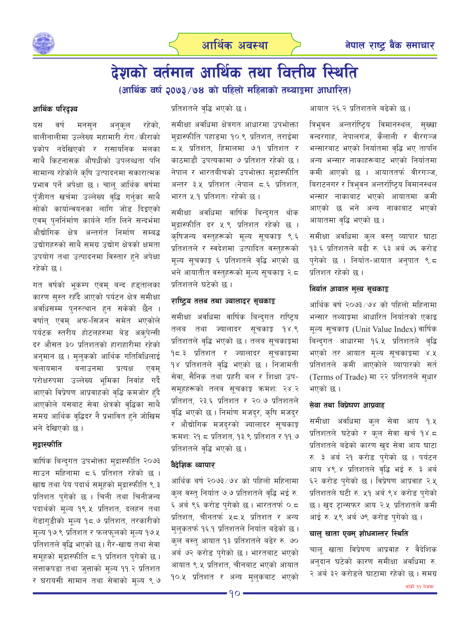



### देशको वर्तमान आर्थिक तथा वित्तीय स्थिति (आर्थिक वर्ष २०७३/७४ को पहिलो महिनाको तथ्याङ्कमा आधारित)

#### आर्थिक परिदृश्य

रहेको. वर्ष अनुकूल यस मनसुन बालीनालीमा उल्लेख्य महामारी रोग ⁄ कीराको प्रकोप नदेखिएको र रासायनिक मलका साथै किटनासक औषधीको उपलब्धता पनि सामान्य रहेकोले कृषि उत्पादनमा सकारात्मक प्रभाव पर्ने अपेक्षा छ । चालु आर्थिक वर्षमा पुँजीगत खर्चमा उल्लेख्य वृद्धि गर्नुका साथै सोको कार्यान्वयनका लागि जोड दिइएको एवम् पुनर्निर्माण कार्यले गति लिने सन्दर्भमा औद्योगिक क्षेत्र अन्तर्गत निर्माण सम्बद्ध उद्योगहरुको साथै समग्र उद्योग क्षेत्रको क्षमता उपयोग तथा उत्पादनमा विस्तार हुने अपेक्षा रहेको छ ।

गत वर्षको भूकम्प एवम् बन्द हड्तालका कारण सुस्त रहँदै आएको पर्यटन क्षेत्र समीक्षा अवधिसम्म पुनरुत्थान हुन सकेको छैन । वर्षात् एवम् अफ-सिजन समेत भएकोले पर्यटक स्तरीय होटलहरुमा बेड अक्पेन्सी दर औसत ३० प्रतिशतको हाराहारीमा रहेको अनुमान छ । मुलकको आर्थिक गतिविधिलाई चलायमान बनाउनमा प्रत्यक्ष एवम परोक्षरुपमा उल्लेख्य भूमिका निर्वाह गर्दै आएको विप्रेषण आप्रवाहको वृद्धि कमजोर हुँदै आएकोले यसबाट सेवा क्षेत्रको वृद्धिका साथै समग्र आर्थिक वृद्धिदर नै प्रभावित हुने जोखिम भने देखिएको छ ।

#### मुद्रास्फीति

वार्षिक बिन्दुगत उपभोक्ता मुद्रास्फीति २०७३ साउन महिनामा ८.६ प्रतिशत रहेको छ । खाद्य तथा पेय पदार्थ समूहको मुद्रास्फीति ९.३ प्रतिशत पुगेको छ । चिनी तथा चिनीजन्य पदार्थको मूल्य १९.५ प्रतिशत, दलहन तथा गेडागडीको मूल्य १८.७ प्रतिशत, तरकारीको मूल्य १७.९ प्रतिशत र फलफुलको मूल्य १७.५ प्रतिशतले वृद्धि भएको छ। गैर-खाद्य तथा सेवा समूहको मुद्रास्फीति ८.१ प्रतिशत पुगेको छ। लत्ताकपडा तथा जुत्ताको मूल्य ११.२ प्रतिशत र घरायसी सामान तथा सेवाको मुल्य ९.७ प्रतिशतले वृद्धि भएको छ।

समीक्षा अवधिमा क्षेत्रगत आधारमा उपभोक्ता मुद्रास्फीति पहाडमा १०.९ प्रतिशत, तराईमा ८.५ प्रतिशत, हिमालमा ७.१ प्रतिशत र काठमाडौं उपत्यकामा ७ प्रतिशत रहेको छ। नेपाल र भारतबीचको उपभोक्ता मुद्रास्फीति अन्तर ३.५ प्रतिशत (नेपाल ८.६ प्रतिशत, भारत ५.१ प्रतिशत) रहेको छ ।

समीक्षा अवधिमा वार्षिक बिन्दगत थोक मुद्रास्फीति दर ५.९ प्रतिशत रहेको छ । कषिजन्य वस्तुहरूको मुल्य सुचकाङ्ग ९.६ प्रतिशतले र स्वदेशमा उत्पादित वस्तुहरूको मूल्य सूचकाङ्ग ६ प्रतिशतले वृद्धि भएको छ भने आयातीत वस्तुहरूको मुल्य सुचकाङ्ग २.८ प्रतिशतले घटेको छ ।

#### राष्ट्रिय तलब तथा ज्यालादर सूचकाङ्क

समीक्षा अवधिमा वार्षिक बिन्दुगत राष्ट्रिय तलब तथा ज्यालादर सुचकाङ़ १४.९ प्रतिशतले वृद्धि भएको छ । तलब सूचकाङ्गमा १८.३ प्रतिशत र ज्यालादर सूचकाङ्कमा १४ प्रतिशतले वृद्धि भएको छ । निजामती सेवा, सैनिक तथा प्रहरी बल र शिक्षा उप-समूहहरूको तलब सूचकाङ्ग क्रमश: २४.२ प्रतिशत, २३.६ प्रतिशत र २०.७ प्रतिशतले वृद्धि भएको छ। निर्माण मजदर, कृषि मजदर र औद्योगिक मजदुरको ज्यालादर सूचकाङ्क क्रमशः २१.८ प्रतिशत, १३.९ प्रतिशत र ११.७ प्रतिशतले वद्धि भएको छ।

#### वैदेशिक व्यापार

आर्थिक बर्ष २०७३/७४ को पहिलो महिनामा कुल वस्त् निर्यात ७.७ प्रतिशतले वृद्धि भई रु. ६ अर्ब ९६ करोड पुगेको छ । भारततर्फ ०.८ प्रतिशत, चीनतर्फ ५८.५ प्रतिशत र अन्य मुलुकतर्फ १६.१ प्रतिशतले निर्यात बढेको छ । कुल वस्तु आयात १३ प्रतिशतले बढेर रु. ७० अर्ब ७२ करोड पुगेको छ। भारतबाट भएको आयात ९.५ प्रतिशत, चीनबाट भएको आयात १०.५ प्रतिशत र अन्य मुलुकबाट भएको आयात २६.२ प्रतिशतले बढेको छ ।

त्रिभुवन अन्तर्राष्ट्रिय विमानस्थल, सुख्खा वन्दरगाह, नेपालगंज, कैलाली र वीरगञ्ज भन्सारबाट भएको निर्यातमा वृद्धि भए तापनि अन्य भन्सार नाकाहरूबाट भएको निर्यातमा कमी आएको छ । आयाततर्फ वीरगञ्ज. बिराटनगर र त्रिभुवन अन्तर्राष्ट्रिय विमानस्थल भन्सार नाकाबाट भएको आयातमा कमी आएको छ भने अन्य नाकाबाट भएको आयातमा वृद्धि भएको छ ।

समीक्षा अवधिमा कुल वस्तु व्यापार घाटा १३.६ प्रतिशतले बढी रु. ६३ अर्ब ७६ करोड पगेको छ । निर्यात-आयात अनुपात ९.८ प्रतिशत रहेको छ ।

#### निर्यात आयात मुल्य सूचकाङ्क

आर्थिक वर्ष २०७३/७४ को पहिलो महिनामा भन्सार तथ्याङ्गमा आधारित निर्यातको एकाइ मूल्य सूचकाङ्क (Unit Value Index) वार्षिक बिन्द्गत आधारमा १६.५ प्रतिशतले वृद्धि भएको तर आयात मूल्य सूचकाङ्गमा ४.<mark>५</mark> प्रतिशतले कमी आएकोले व्यापारको सर्त (Terms of Trade) मा २२ प्रतिशतले स्*धार* भएको छ ।

#### सेवा तथा विप्रेषण आप्रवाह

समीक्षा अवधिमा कल सेवा आय १.५ प्रतिशतले घटेको र कुल सेवा खर्च १४.८ प्रतिशतले बढेको कारण खुद सेवा आय घाटा रु. ३ अर्ब २१ करोड पुगेको छ । पर्यटन आय ४९.४ प्रतिशतले वृद्धि भई रु. ३ अर्ब ६२ करोड पुगेको छ । विप्रेषण आप्रवाह २.५ प्रतिशतले घटी रु. ५१ अर्ब ९४ करोड पुगेको छ । खुद ट्रान्सफर आय २.५ प्रतिशतले कमी आई रु. ५९ अर्ब ७९ करोड पुगेको छ ।

#### चाल् खाता एवम् शोधनान्तर स्थिति

चाल खाता विप्रेषण आप्रवाह र वैदेशिक अनुदान घटेको कारण समीक्षा अवधिमा रु. २ अर्ब ३२ करोडले घाटामा रहेको छ । समग्र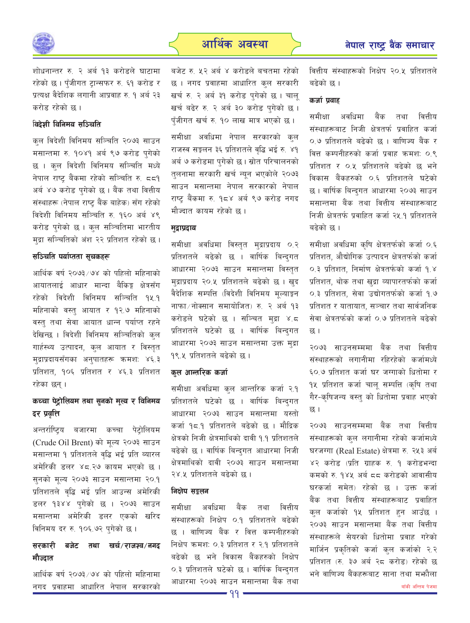

शोधनान्तर रु. २ अर्ब १३ करोडले घाटामा रहेको छ । पँजीगत ट्रान्सफर रु. ६१ करोड र प्रत्यक्ष वैदेशिक लगानी आप्रवाह रु. १ अर्ब २३ करोड रहेको छ ।

#### विदेशी विनिमय सञ्चिति

कुल विदेशी विनिमय सञ्चिति २०७३ साउन मसान्तमा रु. १०४१ अर्ब ९७ करोड पुगेको छ । कुल विदेशी विनिमय सञ्चिति मध्ये नेपाल राष्ट्र बैंकमा रहेको सञ्चिति रु. ८८१ अर्ब ४७ करोड पुगेको छ । बैंक तथा वित्तीय संस्थाहरू (नेपाल राष्ट् बैंक बाहेक) सँग रहेको विदेशी विनिमय सञ्चिति रु. १६० अर्ब ४९ करोड पुगेको छ । कुल सञ्चितिमा भारतीय मुद्रा सञ्चितिको अंश २२ प्रतिशत रहेको छ।

#### सञ्चिति पर्याप्तता सचकहरू

आर्थिक वर्ष २०७३/७४ को पहिलो महिनाको आयातलाई आधार मान्दा बैकिङ्ग क्षेत्रसँग रहेको विदेशी विनिमय सञ्चिति १५.१ महिनाको वस्तु आयात र १२.७ महिनाको वस्तु तथा सेवा आयात धान्न पर्याप्त रहने देखिन्छ । विदेशी विनिमय सञ्चितिको कुल गार्हस्थ्य उत्पादन, कुल आयात र विस्तृत मुद्राप्रदायसँगका अनुपातहरू क्रमश: ४६.३ प्रतिशत, १०६ प्रतिशत र ४६.३ प्रतिशत रहेका छन् ।

#### कच्चा पेट्रोलियम तथा सुनको मूल्य र विनिमय दर प्रवृत्ति

अन्तर्राष्ट्रिय बजारमा कच्चा पेट्रोलियम (Crude Oil Brent) को मूल्य २०७३ साउन मसान्तमा १ प्रतिशतले वृद्धि भई प्रति ब्यारल अमेरिकी डलर ४८.२७ कायम भएको छ । सुनको मूल्य २०७३ साउन मसान्तमा २०.१ प्रतिशतले वृद्धि भई प्रति आउन्स अमेरिकी डलर १३४४ पुगेको छ । २०७३ साउन मसान्तमा अमेरिकी डलर एकको खरिद विनिमय दर रु. १०६.७२ पुगेको छ ।

#### सरकारी बजेट तथा खर्च/राजश्व/नगद मौज्दात

आर्थिक वर्ष २०७३/७४ को पहिलो महिनामा नगद प्रवाहमा आधारित नेपाल सरकारको

बजेट रु. ५२ अर्ब ४ करोडले बचतमा रहेको छ । नगद प्रवाहमा आधारित कुल सरकारी खर्च रु. २ अर्ब ३१ करोड पुगेको छ । चालू खर्च बढेर रु. २ अर्ब ३० करोड पुगेको छ । पँजीगत खर्च रु. १० लाख मात्र भएको छ।

समीक्षा अवधिमा नेपाल सरकारको कुल राजस्व सङ्कलन ३६ प्रतिशतले वृद्धि भई रु. ४१ अर्ब ७ करोडमा पुगेको छ । स्रोत परिचालनको तुलनामा सरकारी खर्च न्यून भएकोले २०७३ साउन मसान्तमा नेपाल सरकारको नेपाल राष्ट्र बैंकमा रु. १८४ अर्ब ९७ करोड नगद मौज्दात कायम रहेको छ ।

#### मुद्राप्रदाय

समीक्षा अवधिमा विस्तृत मुद्राप्रदाय ०.२ प्रतिशतले बढेको छ । वार्षिक बिन्दगत आधारमा २०७३ साउन मसान्तमा विस्तृत मुद्राप्रदाय २०.५ प्रतिशतले बढेको छ । खुद वैदेशिक सम्पत्ति (विदेशी विनिमय मूल्याङ्कन नाफा / नोक्सान समायोजित) रु. २ अर्ब १३ करोडले घटेको छ । सञ्चित मुद्रा ४.८ प्रतिशतले घटेको छ । वार्षिक बिन्दुगत आधारमा २०७३ साउन मसान्तमा उक्त मुद्रा १९.५ प्रतिशतले बढेको छ ।

#### कुल आन्तरिक कर्जा

समीक्षा अवधिमा कुल आन्तरिक कर्जा २.१ प्रतिशतले घटेको छ । वार्षिक बिन्दगत आधारमा २०७३ साउन मसान्तमा यस्तो कर्जा १८.१ प्रतिशतले बढेको छ । मौद्रिक क्षेत्रको निजी क्षेत्रमाथिको दावी १.१ प्रतिशतले बढेको छ । वार्षिक बिन्दुगत आधारमा निजी क्षेत्रमाथिको दावी २०७३ साउन मसान्तमा २४.५ प्रतिशतले बढेको छ।

#### निक्षेप सङ्कलन

समीक्षा अवधिमा तथा वित्तीय बैंक संस्थाहरूको निक्षेप ०.१ प्रतिशतले बढेको छ । वाणिज्य बैंक र वित्त कम्पनीहरुको निक्षेप क्रमशः ०.३ प्रतिशत र २.१ प्रतिशतले बढेको छ भने विकास बैंकहरुको निक्षेप ०.३ प्रतिशतले घटेको छ । वार्षिक बिन्द्गत आधारमा २०७३ साउन मसान्तमा बैंक तथा वित्तीय संस्थाहरूको निक्षेप २०.५ प्रतिशतले बढेको छ ।

#### कर्जा पवाह

समीक्षा अवधिमा बैंक तथा वित्तीय संस्थाहरूबाट निजी क्षेत्रतर्फ प्रवाहित कर्जा ०.७ प्रतिशतले बढेको छ । वाणिज्य बैंक र वित्त कम्पनीहरुको कर्जा प्रवाह क्रमश: 0.९ प्रतिशत र ०.५ प्रतिशतले बढेको छ भने विकास बैंकहरुको ०.६ प्रतिशतले घटेको छ । वार्षिक बिन्द्गत आधारमा २०७३ साउन मसान्तमा बैंक तथा वित्तीय संस्थाहरूबाट निजी क्षेत्रतर्फ प्रवाहित कर्जा २५.१ प्रतिशतले बतेको छ ।

समीक्षा अवधिमा कृषि क्षेत्रतर्फको कर्जा ०.६ प्रतिशत, औद्योगिक उत्पादन क्षेत्रतर्फको कर्जा 0.३ प्रतिशत, निर्माण क्षेत्रतर्फको कर्जा १.४ प्रतिशत, थोक तथा खुद्रा व्यापारतर्फको कर्जा ०.३ प्रतिशत, सेवा उद्योगतर्फको कर्जा १.७ प्रतिशत र यातायात, सञ्चार तथा सार्वजनिक सेवा क्षेत्रतर्फको कर्जा ०.७ प्रतिशतले बढेको छ।

२०७३ साउनसम्ममा बैंक तथा वित्तीय संस्थाहरूको लगानीमा रहिरहेको कर्जामध्ये ६०.७ प्रतिशत कर्जा घर जग्गाको धितोमा र १५ प्रतिशत कर्जा चालू सम्पत्ति (कृषि तथा गैर-कृषिजन्य वस्त् को धितोमा प्रवाह भएको छ ।

२०७३ साउनसम्ममा बैंक तथा वित्तीय संस्थाहरूको कुल लगानीमा रहेको कर्जामध्ये घरजग्गा (Real Estate) क्षेत्रमा रु. २५३ अर्ब ४२ करोड (प्रति ग्राहक रु. १ करोडभन्दा कमको रु. १४५ अर्ब ८८ करोडको आवासीय घरकर्जा समेत) रहेको छ । उक्त कर्जा बैंक तथा वित्तीय संस्थाहरूबाट प्रवाहित कुल कर्जाको १५ प्रतिशत हुन आउँछ । २०७३ साउन मसान्तमा बैंक तथा वित्तीय संस्थाहरूले सेयरको धितोमा प्रवाह गरेको मार्जिन प्रकृतिको कर्जा कुल कर्जाको २.२ प्रतिशत (रु. ३७ अर्ब २८ करोड) रहेको छ भने वाणिज्य बैंकहरूबाट साना तथा मभ्हौला